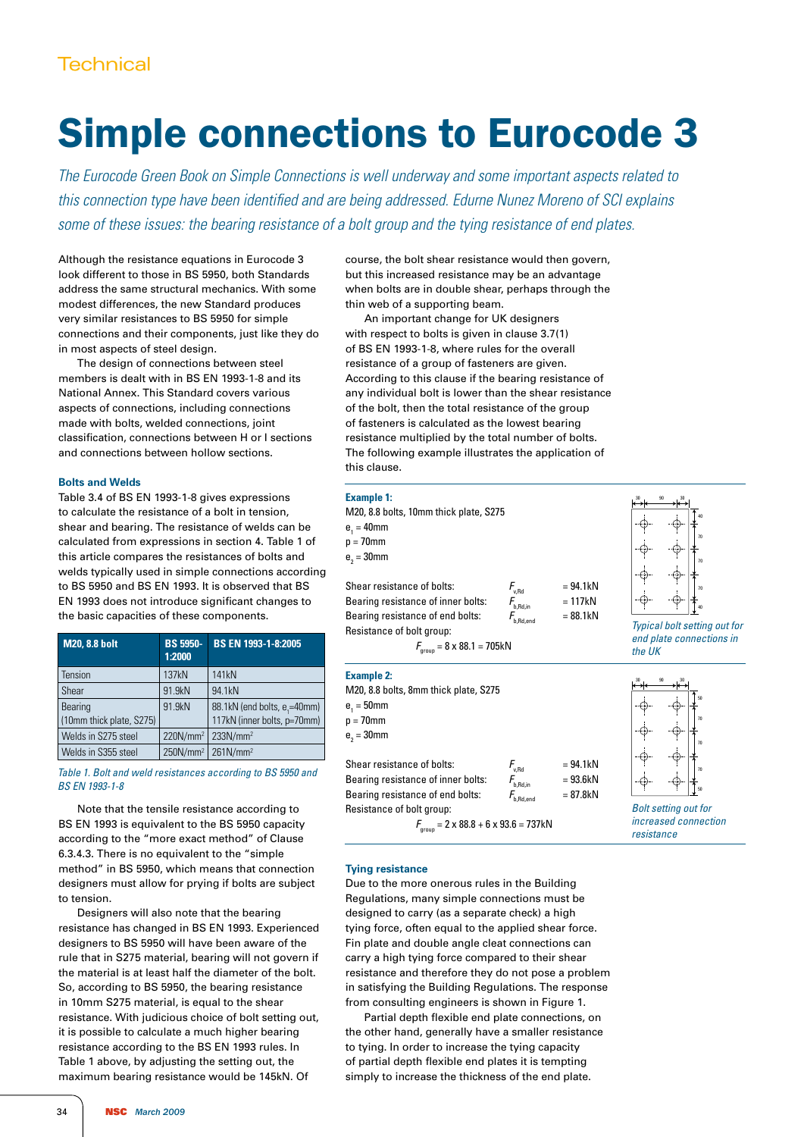# Simple connections to Eurocode 3

*The Eurocode Green Book on Simple Connections is well underway and some important aspects related to this connection type have been identified and are being addressed. Edurne Nunez Moreno of SCI explains some of these issues: the bearing resistance of a bolt group and the tying resistance of end plates.*

Although the resistance equations in Eurocode 3 look different to those in BS 5950, both Standards address the same structural mechanics. With some modest differences, the new Standard produces very similar resistances to BS 5950 for simple connections and their components, just like they do in most aspects of steel design.

The design of connections between steel members is dealt with in BS EN 1993-1-8 and its National Annex. This Standard covers various aspects of connections, including connections made with bolts, welded connections, joint classification, connections between H or I sections and connections between hollow sections.

### **Bolts and Welds**

Table 3.4 of BS EN 1993-1-8 gives expressions to calculate the resistance of a bolt in tension, shear and bearing. The resistance of welds can be calculated from expressions in section 4. Table 1 of this article compares the resistances of bolts and welds typically used in simple connections according to BS 5950 and BS EN 1993. It is observed that BS EN 1993 does not introduce significant changes to the basic capacities of these components.

| <b>M20, 8.8 bolt</b>                | <b>BS 5950-</b><br>1:2000 | BS EN 1993-1-8:2005                                                     |  |
|-------------------------------------|---------------------------|-------------------------------------------------------------------------|--|
| Tension                             | 137kN                     | 141 <sub>k</sub> N                                                      |  |
| Shear                               | 91.9kN                    | 94.1kN                                                                  |  |
| Bearing<br>(10mm thick plate, S275) | 91.9kN                    | 88.1kN (end bolts, e <sub>1</sub> =40mm)<br>117kN (inner bolts, p=70mm) |  |
| Welds in S275 steel                 | $220N/mm^2$               | 233N/mm <sup>2</sup>                                                    |  |
| Welds in S355 steel                 |                           | $250N/mm^2$ 261N/mm <sup>2</sup>                                        |  |

#### *Table 1. Bolt and weld resistances according to BS 5950 and BS EN 1993-1-8*

Note that the tensile resistance according to BS EN 1993 is equivalent to the BS 5950 capacity according to the "more exact method" of Clause 6.3.4.3. There is no equivalent to the "simple method" in BS 5950, which means that connection designers must allow for prying if bolts are subject to tension.

Designers will also note that the bearing resistance has changed in BS EN 1993. Experienced designers to BS 5950 will have been aware of the rule that in S275 material, bearing will not govern if the material is at least half the diameter of the bolt. So, according to BS 5950, the bearing resistance in 10mm S275 material, is equal to the shear resistance. With judicious choice of bolt setting out, it is possible to calculate a much higher bearing resistance according to the BS EN 1993 rules. In Table 1 above, by adjusting the setting out, the maximum bearing resistance would be 145kN. Of

course, the bolt shear resistance would then govern, but this increased resistance may be an advantage when bolts are in double shear, perhaps through the thin web of a supporting beam.

An important change for UK designers with respect to bolts is given in clause 3.7(1) of BS EN 1993-1-8, where rules for the overall resistance of a group of fasteners are given. According to this clause if the bearing resistance of any individual bolt is lower than the shear resistance of the bolt, then the total resistance of the group of fasteners is calculated as the lowest bearing resistance multiplied by the total number of bolts. The following example illustrates the application of this clause.

### **Example 1:**

| <b>Example 1:</b>                                  |                                    |            | 90                                  |
|----------------------------------------------------|------------------------------------|------------|-------------------------------------|
| M20, 8.8 bolts, 10mm thick plate, S275             |                                    |            |                                     |
| $e_1 = 40$ mm                                      |                                    |            | -t+                                 |
| $p = 70$ mm                                        |                                    |            | 70                                  |
| $e_{2} = 30$ mm                                    |                                    |            | 70                                  |
|                                                    |                                    |            | f÷.                                 |
| Shear resistance of bolts:                         | $F_{\rm v,Rd}^{\phantom{\dagger}}$ | $= 94.1kN$ | 70                                  |
| Bearing resistance of inner bolts:                 | b,Rd,in                            | $= 117kN$  | --641-                              |
| Bearing resistance of end bolts:                   | $\textit{F}_{_{\rm b, Rd, end}}$   | $= 88.1kN$ |                                     |
| Resistance of bolt group:                          |                                    |            | <b>Typical bolt setting out for</b> |
| $F_{\text{group}} = 8 \times 88.1 = 705 \text{kN}$ |                                    |            | end plate connections in<br>the UK  |
|                                                    |                                    |            |                                     |

#### **Example 2:** M20, 8.8 bolts, 8mm thick plate, S275  $e_1 = 50$ mm  $p = 70$ mm  $e_{2} = 30$ mm Shear resistance of bolts:  $F_{v,Rel} = 94.1kN$ <br>Bearing resistance of inner holts:  $F = 93.6kN$ Bearing resistance of inner bolts:  $F_{b,Rd,n}$  = 93.6kN<br>Bearing resistance of end bolts:  $F_{b,Rd,nnd}$  = 87.8kN Bearing resistance of end bolts: Resistance of bolt group:  $F_{\text{group}} = 2 \times 88.8 + 6 \times 93.6 = 737 \text{kN}$ 30 90 30 50 70 70 70 50 *Bolt setting out for increased connection resistance*

#### **Tying resistance**

Due to the more onerous rules in the Building Regulations, many simple connections must be designed to carry (as a separate check) a high tying force, often equal to the applied shear force. Fin plate and double angle cleat connections can carry a high tying force compared to their shear resistance and therefore they do not pose a problem in satisfying the Building Regulations. The response from consulting engineers is shown in Figure 1.

Partial depth flexible end plate connections, on the other hand, generally have a smaller resistance to tying. In order to increase the tying capacity of partial depth flexible end plates it is tempting simply to increase the thickness of the end plate.